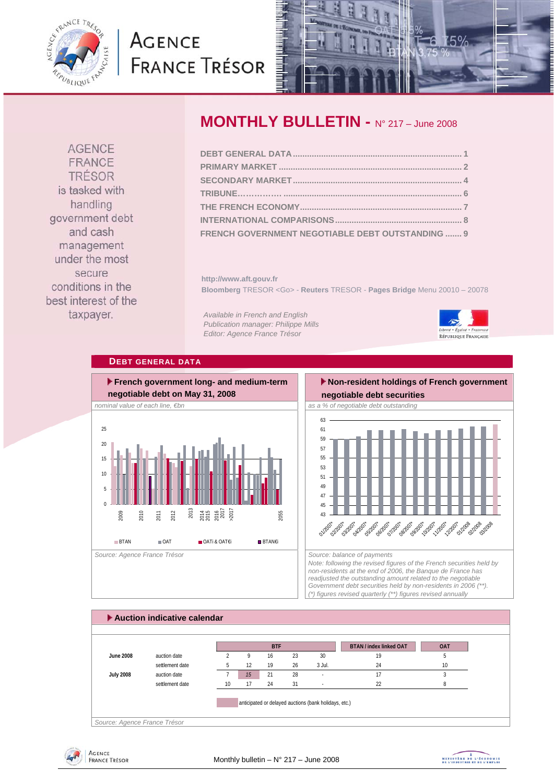<span id="page-0-0"></span>

# **AGENCE FRANCE TRÉSOR**



**AGENCE** FRANCE **TRÉSOR** is tasked with handling government debt and cash management under the most secure conditions in the best interest of the taxpayer.

# **MONTHLY BULLETIN -** N° 217 – June 2008

| FRENCH GOVERNMENT NEGOTIABLE DEBT OUTSTANDING  9 |  |
|--------------------------------------------------|--|

**http://www.aft.gouv.fr Bloomberg** TRESOR <Go> - **Reuters** TRESOR - **Pages Bridge** Menu 20010 – 20078

*Available in French and English Publication manager: Philippe Mills Editor: Agence France Trésor* 



### **DEBT GENERAL DATA**



# **Non-resident holdings of French government**



*Note: following the revised figures of the French securities held by non-residents at the end of 2006, the Banque de France has readjusted the outstanding amount related to the negotiable Government debt securities held by non-residents in 2006 (\*\*). (\*) figures revised quarterly (\*\*) figures revised annually* 

### **Auction indicative calendar**  *Source: Agence France Trésor*  **BTAN / index linked OAT OAT June 2008** auction date 2 9 16 23 30 19 5 settlement date  $\begin{array}{cccc} 5 & 12 & 19 & 26 & 3 \text{ Jul.} & 24 & 10 \end{array}$ **July 2008** auction date 7 *15* 21 28 - 17 3 settlement date 10 17 24 31 - 22 22 8 anticipated or delayed auctions (bank holidays, etc.) **BTF**



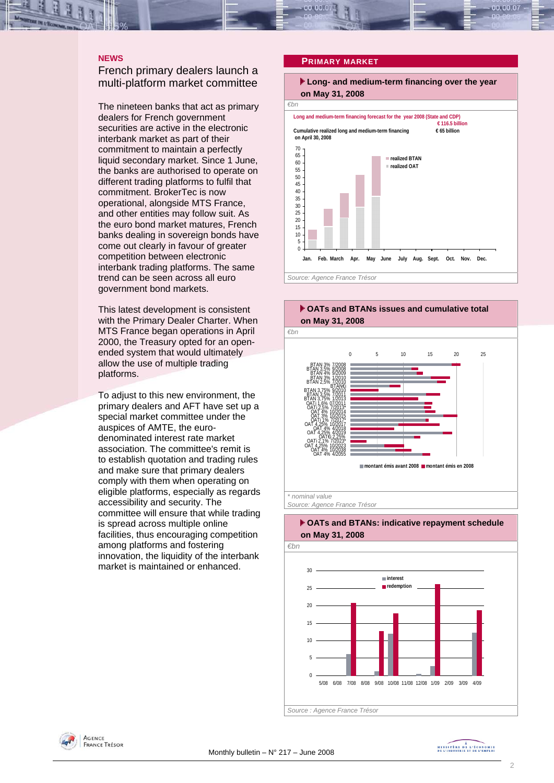<span id="page-1-0"></span>

### **NEWS**

### French primary dealers launch a multi-platform market committee

The nineteen banks that act as primary dealers for French government securities are active in the electronic interbank market as part of their commitment to maintain a perfectly liquid secondary market. Since 1 June, the banks are authorised to operate on different trading platforms to fulfil that commitment. BrokerTec is now operational, alongside MTS France, and other entities may follow suit. As the euro bond market matures, French banks dealing in sovereign bonds have come out clearly in favour of greater competition between electronic interbank trading platforms. The same trend can be seen across all euro government bond markets.

This latest development is consistent with the Primary Dealer Charter. When MTS France began operations in April 2000, the Treasury opted for an openended system that would ultimately allow the use of multiple trading platforms.

To adjust to this new environment, the primary dealers and AFT have set up a special market committee under the auspices of AMTE, the eurodenominated interest rate market association. The committee's remit is to establish quotation and trading rules and make sure that primary dealers comply with them when operating on eligible platforms, especially as regards accessibility and security. The committee will ensure that while trading is spread across multiple online facilities, thus encouraging competition among platforms and fostering innovation, the liquidity of the interbank market is maintained or enhanced.

### **PRIMARY MARKET**









*Source: Agence France Trésor* 



# **OATs and BTANs: indicative repayment schedule**

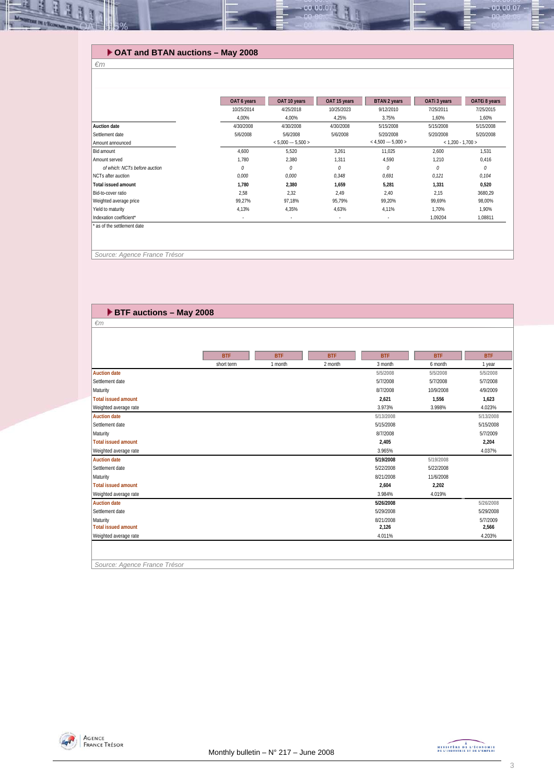### **OAT and BTAN auctions – May 2008**

#### *€m*

可可

|                               | OAT 6 years | OAT 10 years             | OAT 15 years | <b>BTAN 2 years</b>   | OATi 3 years        | OAT€i 8 years |
|-------------------------------|-------------|--------------------------|--------------|-----------------------|---------------------|---------------|
|                               | 10/25/2014  | 4/25/2018                | 10/25/2023   | 9/12/2010             | 7/25/2011           | 7/25/2015     |
|                               | 4,00%       | 4.00%                    | 4.25%        | 3.75%                 | 1.60%               | 1,60%         |
| <b>Auction date</b>           | 4/30/2008   | 4/30/2008                | 4/30/2008    | 5/15/2008             | 5/15/2008           | 5/15/2008     |
| Settlement date               | 5/6/2008    | 5/6/2008                 | 5/6/2008     | 5/20/2008             | 5/20/2008           | 5/20/2008     |
| Amount announced              |             | $< 5,000 -- 5,500 >$     |              | $<$ 4,500 --- 5,000 > | $< 1,200 - 1,700 >$ |               |
| Bid amount                    | 4.600       | 5,520                    | 3,261        | 11.025                | 2.600               | 1.531         |
| Amount served                 | 1.780       | 2,380                    | 1,311        | 4.590                 | 1,210               | 0,416         |
| of which: NCTs before auction | $\theta$    | $\theta$                 | 0            | $\theta$              | 0                   | 0             |
| NCTs after auction            | 0.000       | 0,000                    | 0,348        | 0.691                 | 0,121               | 0.104         |
| <b>Total issued amount</b>    | 1,780       | 2,380                    | 1,659        | 5,281                 | 1,331               | 0,520         |
| Bid-to-cover ratio            | 2,58        | 2,32                     | 2,49         | 2,40                  | 2,15                | 3680,29       |
| Weighted average price        | 99,27%      | 97,18%                   | 95,79%       | 99,20%                | 99.69%              | 98.00%        |
| Yield to maturity             | 4,13%       | 4,35%                    | 4,63%        | 4,11%                 | 1,70%               | 1,90%         |
| Indexation coefficient*       | ٠           | $\overline{\phantom{a}}$ | ٠            | ٠                     | 1,09204             | 1.08811       |

00.00.0

 *Source: Agence France Trésor* 

*€m* 

### **BTF auctions – May 2008**

|                              | <b>BTF</b> | <b>BTF</b> | <b>BTF</b> | <b>BTF</b> | <b>BTF</b> | <b>BTF</b> |
|------------------------------|------------|------------|------------|------------|------------|------------|
|                              | short term | 1 month    | 2 month    | 3 month    | 6 month    | 1 year     |
| <b>Auction date</b>          |            |            |            | 5/5/2008   | 5/5/2008   | 5/5/2008   |
| Settlement date              |            |            |            | 5/7/2008   | 5/7/2008   | 5/7/2008   |
| Maturity                     |            |            |            | 8/7/2008   | 10/9/2008  | 4/9/2009   |
| <b>Total issued amount</b>   |            |            |            | 2,621      | 1,556      | 1,623      |
| Weighted average rate        |            |            |            | 3.973%     | 3.998%     | 4.023%     |
| <b>Auction date</b>          |            |            |            | 5/13/2008  |            | 5/13/2008  |
| Settlement date              |            |            |            | 5/15/2008  |            | 5/15/2008  |
| Maturity                     |            |            |            | 8/7/2008   |            | 5/7/2009   |
| <b>Total issued amount</b>   |            |            |            | 2.405      |            | 2,204      |
| Weighted average rate        |            |            |            | 3.965%     |            | 4.037%     |
| <b>Auction date</b>          |            |            |            | 5/19/2008  | 5/19/2008  |            |
| Settlement date              |            |            |            | 5/22/2008  | 5/22/2008  |            |
| Maturity                     |            |            |            | 8/21/2008  | 11/6/2008  |            |
| <b>Total issued amount</b>   |            |            |            | 2.604      | 2,202      |            |
| Weighted average rate        |            |            |            | 3.984%     | 4.019%     |            |
| <b>Auction date</b>          |            |            |            | 5/26/2008  |            | 5/26/2008  |
| Settlement date              |            |            |            | 5/29/2008  |            | 5/29/2008  |
| Maturity                     |            |            |            | 8/21/2008  |            | 5/7/2009   |
| <b>Total issued amount</b>   |            |            |            | 2,126      |            | 2,566      |
| Weighted average rate        |            |            |            | 4.011%     |            | 4.203%     |
|                              |            |            |            |            |            |            |
| Source: Agence France Trésor |            |            |            |            |            |            |



 $-00.00.07$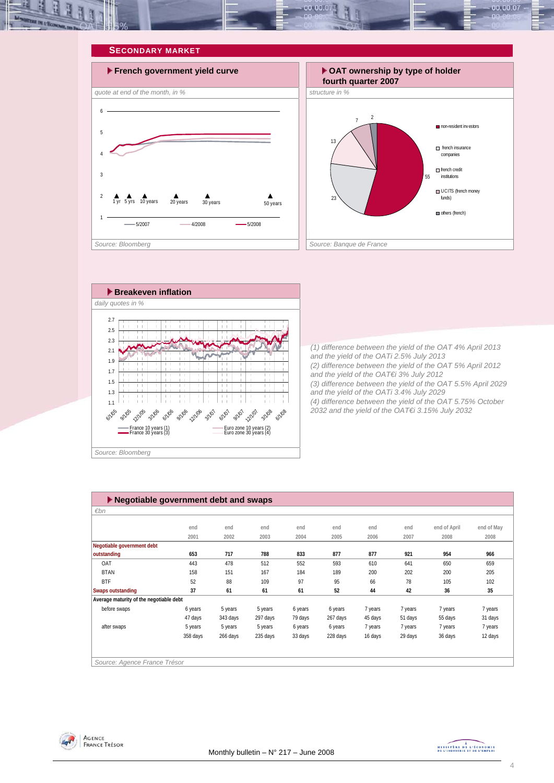<span id="page-3-0"></span>







*(1) difference between the yield of the OAT 4% April 2013 and the yield of the OATi 2.5% July 2013 (2) difference between the yield of the OAT 5% April 2012 and the yield of the OAT€i 3% July 2012 (3) difference between the yield of the OAT 5.5% April 2029 and the yield of the OATi 3.4% July 2029 (4) difference between the yield of the OAT 5.75% October 2032 and the yield of the OAT€i 3.15% July 2032* 

| $\blacktriangleright$ Negotiable government debt and swaps |          |          |          |         |          |         |         |              |            |  |
|------------------------------------------------------------|----------|----------|----------|---------|----------|---------|---------|--------------|------------|--|
| $\varepsilon$ bn                                           |          |          |          |         |          |         |         |              |            |  |
|                                                            |          |          |          |         |          |         |         |              |            |  |
|                                                            | end      | end      | end      | end     | end      | end     | end     | end of April | end of May |  |
|                                                            | 2001     | 2002     | 2003     | 2004    | 2005     | 2006    | 2007    | 2008         | 2008       |  |
| Negotiable government debt                                 |          |          |          |         |          |         |         |              |            |  |
| outstanding                                                | 653      | 717      | 788      | 833     | 877      | 877     | 921     | 954          | 966        |  |
| OAT                                                        | 443      | 478      | 512      | 552     | 593      | 610     | 641     | 650          | 659        |  |
| <b>BTAN</b>                                                | 158      | 151      | 167      | 184     | 189      | 200     | 202     | 200          | 205        |  |
| <b>BTF</b>                                                 | 52       | 88       | 109      | 97      | 95       | 66      | 78      | 105          | 102        |  |
| <b>Swaps outstanding</b>                                   | 37       | 61       | 61       | 61      | 52       | 44      | 42      | 36           | 35         |  |
| Average maturity of the negotiable debt                    |          |          |          |         |          |         |         |              |            |  |
| before swaps                                               | 6 years  | 5 years  | 5 years  | 6 years | 6 years  | 7 years | 7 years | 7 years      | 7 years    |  |
|                                                            | 47 days  | 343 days | 297 days | 79 days | 267 days | 45 days | 51 days | 55 days      | 31 days    |  |
| after swaps                                                | 5 years  | 5 years  | 5 years  | 6 years | 6 years  | 7 years | 7 years | 7 years      | 7 years    |  |
|                                                            | 358 days | 266 days | 235 days | 33 days | 228 days | 16 days | 29 days | 36 days      | 12 days    |  |
|                                                            |          |          |          |         |          |         |         |              |            |  |
|                                                            |          |          |          |         |          |         |         |              |            |  |
| Source: Agence France Trésor                               |          |          |          |         |          |         |         |              |            |  |



MINISTRE DE L'ÉCONOMIE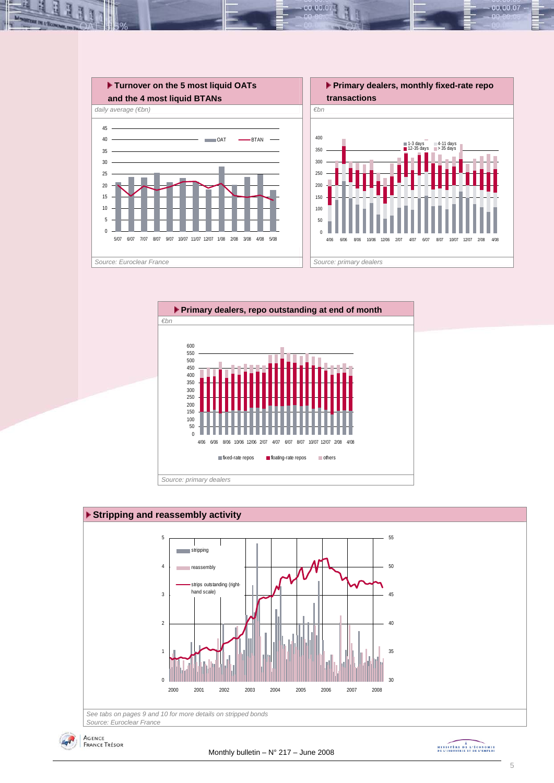

00.001





*Source: Euroclear France*

$$
4r^2
$$

Agence<br>France Trésor

MINISTRE DE L'ÉCONOMIE

00.00.07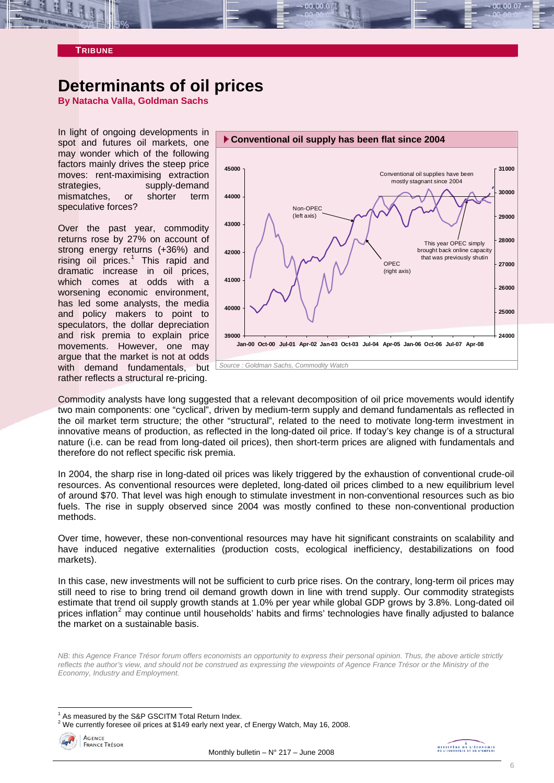<span id="page-5-0"></span>

**TRIBUNE** 

# **Determinants of oil prices**

**By Natacha Valla, Goldman Sachs** 

In light of ongoing developments in spot and futures oil markets, one may wonder which of the following factors mainly drives the steep price moves: rent-maximising extraction strategies, supply-demand mismatches, or shorter term speculative forces?

Over the past year, commodity returns rose by 27% on account of strong energy returns (+36%) and rising oil prices.<sup>[1](#page-5-1)</sup> This rapid and dramatic increase in oil prices, which comes at odds with a worsening economic environment, has led some analysts, the media and policy makers to point to speculators, the dollar depreciation and risk premia to explain price movements. However, one may argue that the market is not at odds with demand fundamentals, but rather reflects a structural re-pricing.



Commodity analysts have long suggested that a relevant decomposition of oil price movements would identify two main components: one "cyclical", driven by medium-term supply and demand fundamentals as reflected in the oil market term structure; the other "structural", related to the need to motivate long-term investment in innovative means of production, as reflected in the long-dated oil price. If today's key change is of a structural nature (i.e. can be read from long-dated oil prices), then short-term prices are aligned with fundamentals and therefore do not reflect specific risk premia.

In 2004, the sharp rise in long-dated oil prices was likely triggered by the exhaustion of conventional crude-oil resources. As conventional resources were depleted, long-dated oil prices climbed to a new equilibrium level of around \$70. That level was high enough to stimulate investment in non-conventional resources such as bio fuels. The rise in supply observed since 2004 was mostly confined to these non-conventional production methods.

Over time, however, these non-conventional resources may have hit significant constraints on scalability and have induced negative externalities (production costs, ecological inefficiency, destabilizations on food markets).

In this case, new investments will not be sufficient to curb price rises. On the contrary, long-term oil prices may still need to rise to bring trend oil demand growth down in line with trend supply. Our commodity strategists estimate that trend oil supply growth stands at 1.0% per year while global GDP grows by 3.8%. Long-dated oil prices inflation<sup>[2](#page-5-2)</sup> may continue until households' habits and firms' technologies have finally adjusted to balance the market on a sustainable basis.

*NB: this Agence France Trésor forum offers economists an opportunity to express their personal opinion. Thus, the above article strictly reflects the author's view, and should not be construed as expressing the viewpoints of Agence France Trésor or the Ministry of the Economy, Industry and Employment.* 

<span id="page-5-2"></span><span id="page-5-1"></span> $2$  We currently foresee oil prices at \$149 early next year, cf Energy Watch, May 16, 2008.



l

<sup>1</sup> As measured by the S&P GSCITM Total Return Index.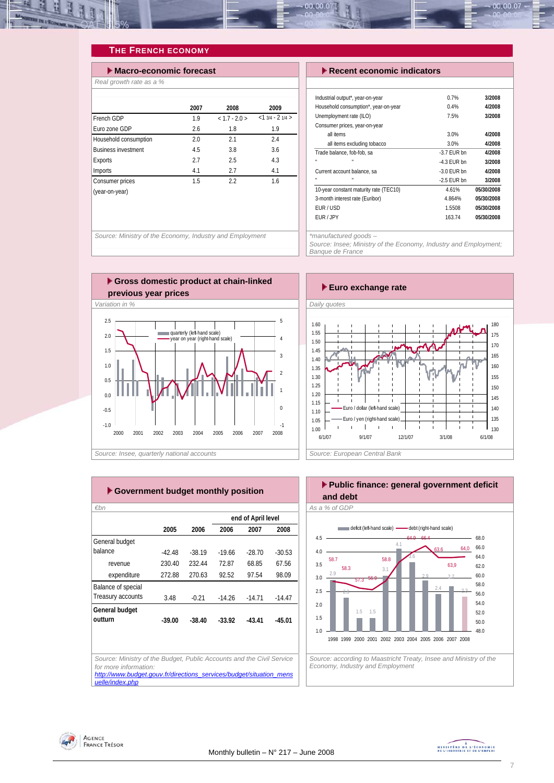<span id="page-6-0"></span>

### **THE FRENCH ECONOMY**

| $\blacktriangleright$ Macro-economic forecast |      | $\blacktriangleright$ Recent economic indicators |                  |                                                                          |
|-----------------------------------------------|------|--------------------------------------------------|------------------|--------------------------------------------------------------------------|
| Real growth rate as a %                       |      |                                                  |                  |                                                                          |
|                                               | 2007 | 2008                                             | 2009             | Industrial output*, year-on-year<br>Household consumption*, year-on-year |
| French GDP                                    | 1.9  | $< 1.7 - 2.0 >$                                  | $<13/4 - 21/4 >$ | Unemployment rate (ILO)                                                  |
| Furo zone GDP                                 | 2.6  | 1.8                                              | 1.9              | Consumer prices, year-on-year                                            |
| Household consumption                         | 2.0  | 2.1                                              | 2.4              | all items<br>all items excluding tobacco                                 |
| <b>Business investment</b>                    | 4.5  | 3.8                                              | 3.6              | Trade balance, fob-fob, sa                                               |
| Exports                                       | 2.7  | 2.5                                              | 4.3              |                                                                          |
| Imports                                       | 4.1  | 2.7                                              | 4.1              | Current account balance, sa                                              |
| Consumer prices                               | 1.5  | 2.2                                              | 1.6              |                                                                          |
| (year-on-year)                                |      |                                                  |                  | 10-year constant maturity rate (TEC10)                                   |
|                                               |      |                                                  |                  | 3-month interest rate (Euribor)                                          |
|                                               |      |                                                  |                  | FUD / LICD                                                               |

| $\blacktriangleright$ Recent economic indicators |               |            |  |  |  |  |  |
|--------------------------------------------------|---------------|------------|--|--|--|--|--|
|                                                  |               |            |  |  |  |  |  |
| Industrial output*, year-on-year                 | 0.7%          | 3/2008     |  |  |  |  |  |
| Household consumption*, year-on-year             | 0.4%          | 4/2008     |  |  |  |  |  |
| Unemployment rate (ILO)                          | 7.5%          | 3/2008     |  |  |  |  |  |
| Consumer prices, year-on-year                    |               |            |  |  |  |  |  |
| all items                                        | 3.0%          | 4/2008     |  |  |  |  |  |
| all items excluding tobacco                      | 3.0%          | 4/2008     |  |  |  |  |  |
| Trade balance, fob-fob, sa                       | $-3.7$ FUR bn | 4/2008     |  |  |  |  |  |
| $\mathbf{u}$<br>$\mathbf{u}$                     | $-4.3$ FUR bn | 3/2008     |  |  |  |  |  |
| Current account balance, sa                      | $-3.0$ FUR bn | 4/2008     |  |  |  |  |  |
|                                                  | $-2.5$ FUR bn | 3/2008     |  |  |  |  |  |
| 10-year constant maturity rate (TEC10)           | 4.61%         | 05/30/2008 |  |  |  |  |  |
| 3-month interest rate (Euribor)                  | 4.864%        | 05/30/2008 |  |  |  |  |  |
| EUR/USD                                          | 1.5508        | 05/30/2008 |  |  |  |  |  |
| FUR / JPY                                        | 163.74        | 05/30/2008 |  |  |  |  |  |

00.00.07

*Source: Ministry of the Economy, Industry and Employment* 

*\*manufactured goods –* 

*Source: Insee; Ministry of the Economy, Industry and Employment; Banque de France* 





|                           |          |          |          | end of April level |          |
|---------------------------|----------|----------|----------|--------------------|----------|
|                           | 2005     | 2006     | 2006     | 2007               | 2008     |
| General budget            |          |          |          |                    |          |
| balance                   | $-42.48$ | $-38.19$ | $-1966$  | $-28.70$           | $-30.53$ |
| revenue                   | 230.40   | 232.44   | 72.87    | 68.85              | 67.56    |
| expenditure               | 272.88   | 270.63   | 92.52    | 97.54              | 98.09    |
| <b>Balance of special</b> |          |          |          |                    |          |
| Treasury accounts         | 3.48     | $-0.21$  | $-14.26$ | $-1471$            | $-14.47$ |
| General budget            |          |          |          |                    |          |
| outturn                   | $-39.00$ | $-38.40$ | $-33.92$ | $-43.41$           | $-45.01$ |
|                           |          |          |          |                    |          |
|                           |          |          |          |                    |          |



*Source: according to Maastricht Treaty, Insee and Ministry of the* 

*Economy, Industry and Employment* 

Agence<br>France Trésor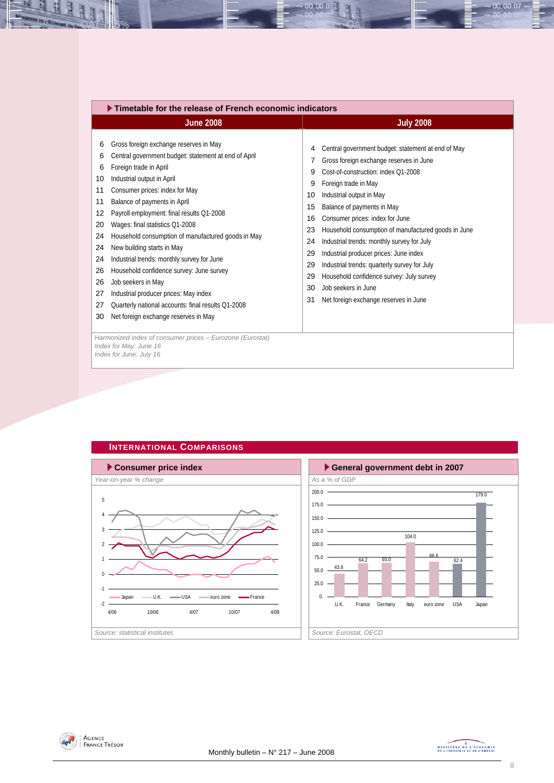<span id="page-7-0"></span>

| <b>June 2008</b>                                                                                                                                                                                                                                                                                                                                                                                                                                                                                                                                                                                                                                                                                                                                                                                              | <b>July 2008</b>                                                                                                                                                                                                                                                                                                                                                                                                                                                                                                                                                                                                                                     |
|---------------------------------------------------------------------------------------------------------------------------------------------------------------------------------------------------------------------------------------------------------------------------------------------------------------------------------------------------------------------------------------------------------------------------------------------------------------------------------------------------------------------------------------------------------------------------------------------------------------------------------------------------------------------------------------------------------------------------------------------------------------------------------------------------------------|------------------------------------------------------------------------------------------------------------------------------------------------------------------------------------------------------------------------------------------------------------------------------------------------------------------------------------------------------------------------------------------------------------------------------------------------------------------------------------------------------------------------------------------------------------------------------------------------------------------------------------------------------|
| Gross foreign exchange reserves in May<br>6<br>Central government budget: statement at end of April<br>6<br>Foreign trade in April<br>6<br>Industrial output in April<br>10<br>Consumer prices: index for May<br>11<br>Balance of payments in April<br>11<br>Payroll employment: final results Q1-2008<br>12<br>Wages: final statistics Q1-2008<br>20<br>Household consumption of manufactured goods in May<br>24<br>New building starts in May<br>24<br>Industrial trends: monthly survey for June<br>24<br>Household confidence survey: June survey<br>26<br>Job seekers in May<br>26<br>Industrial producer prices: May index<br>27<br>Quarterly national accounts: final results Q1-2008<br>27<br>Net foreign exchange reserves in May<br>30<br>Harmonized index of consumer prices - Eurozone (Eurostat) | Central government budget: statement at end of May<br>4<br>Gross foreign exchange reserves in June<br>7<br>Cost-of-construction: index O1-2008<br>9<br>Foreign trade in May<br>9<br>Industrial output in May<br>10<br>Balance of payments in May<br>15<br>Consumer prices: index for June<br>16<br>Household consumption of manufactured goods in June<br>23<br>Industrial trends: monthly survey for July<br>24<br>Industrial producer prices: June index<br>29<br>Industrial trends: quarterly survey for July<br>29<br>Household confidence survey: July survey<br>29<br>Job seekers in June<br>30<br>Net foreign exchange reserves in June<br>31 |

00.00.07









 $00.00.07$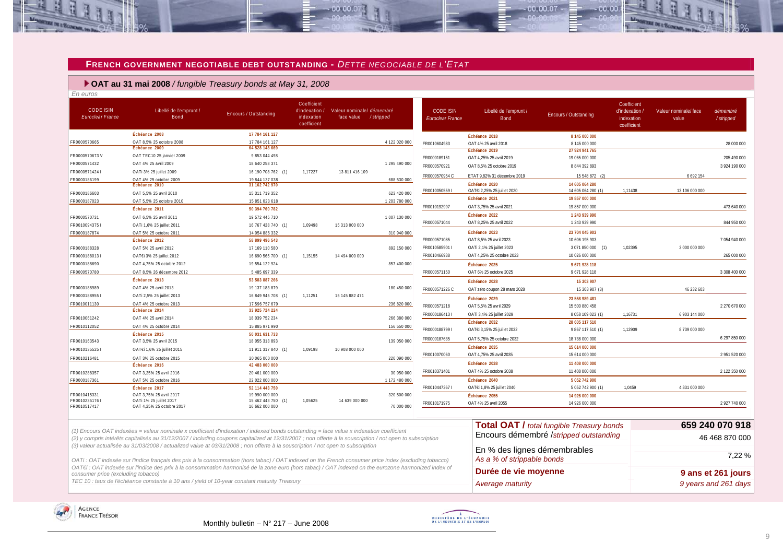### **FRENCH GOVERNMENT NEGOTIABLE DEBT OUTSTANDING -** *DETTE NEGOCIABLE DE L'ETAT*

 $-00,00,0$ 

### **OAT au 31 mai 2008** */ fungible Treasury bonds at May 31, 2008*

| <b>CODE ISIN</b><br>Euroclear France | Libellé de l'emprunt /<br><b>Bond</b>                                                                                                                     | <b>Encours / Outstanding</b>         | Coefficient<br>d'indexation /<br>indexation<br>coefficient | Valeur nominale/ démembré<br>face value | /stripped     | <b>CODE ISIN</b><br>Euroclear France | Libellé de l'emprunt /<br><b>Bond</b> | Encours / Outstanding                            | Coefficient<br>d'indexation /<br>indexation<br>coefficient | Valeur nominale/ face<br>value | démembré<br>/stripped |
|--------------------------------------|-----------------------------------------------------------------------------------------------------------------------------------------------------------|--------------------------------------|------------------------------------------------------------|-----------------------------------------|---------------|--------------------------------------|---------------------------------------|--------------------------------------------------|------------------------------------------------------------|--------------------------------|-----------------------|
|                                      | Échéance 2008                                                                                                                                             | 17 784 161 127                       |                                                            |                                         |               |                                      | Échéance 2018                         | 8 145 000 000                                    |                                                            |                                |                       |
| FR0000570665                         | OAT 8.5% 25 octobre 2008                                                                                                                                  | 17 784 161 127                       |                                                            |                                         | 4 122 020 000 | FR0010604983                         | OAT 4% 25 avril 2018                  | 8 145 000 000                                    |                                                            |                                | 28 000 000            |
|                                      | Échéance 2009                                                                                                                                             | 64 528 148 669                       |                                                            |                                         |               |                                      | Échéance 2019                         | 27 924 941 765                                   |                                                            |                                |                       |
| FR0000570673V                        | OAT TEC10 25 janvier 2009                                                                                                                                 | 9 853 044 498                        |                                                            |                                         |               | FR0000189151                         | OAT 4,25% 25 avril 2019               | 19 065 000 000                                   |                                                            |                                | 205 490 000           |
| FR0000571432                         | OAT 4% 25 avril 2009                                                                                                                                      | 18 640 258 371                       |                                                            |                                         | 1 295 490 000 | FR0000570921                         | OAT 8,5% 25 octobre 2019              | 8 844 392 893                                    |                                                            |                                | 3 924 190 000         |
| FR0000571424 I                       | OATi 3% 25 juillet 2009                                                                                                                                   | 16 190 708 762 (1)                   | 1,17227                                                    | 13 811 416 109                          |               | FR0000570954 C                       | ETAT 9,82% 31 décembre 2019           | 15 548 872                                       |                                                            | 6 692 154                      |                       |
| FR0000186199                         | OAT 4% 25 octobre 2009<br>Échéance 2010                                                                                                                   | 19 844 137 038<br>31 162 742 970     |                                                            |                                         | 688 530 000   |                                      | Échéance 2020                         | 14 605 064 280                                   |                                                            |                                |                       |
| FR0000186603                         | OAT 5.5% 25 avril 2010                                                                                                                                    | 15 311 719 352                       |                                                            |                                         | 623 420 000   | FR00100505591                        | OAT€i 2.25% 25 iuillet 2020           | 14 605 064 280 (1                                | 1.11438                                                    | 13 106 000 000                 |                       |
| FR0000187023                         | OAT 5,5% 25 octobre 2010                                                                                                                                  | 15 851 023 618                       |                                                            |                                         | 1 203 780 000 |                                      | Échéance 2021                         | 19 857 000 000                                   |                                                            |                                |                       |
|                                      | Échéance 2011                                                                                                                                             | 50 394 760 782                       |                                                            |                                         |               | FR0010192997                         | OAT 3,75% 25 avril 2021               | 19 857 000 000                                   |                                                            |                                | 473 640 000           |
| FR0000570731                         | OAT 6,5% 25 avril 2011                                                                                                                                    | 19 572 445 710                       |                                                            |                                         | 1 007 130 000 |                                      | Échéance 2022                         | 1 243 939 990                                    |                                                            |                                |                       |
| FR0010094375 I                       | OATi 1,6% 25 juillet 2011                                                                                                                                 | 16 767 428 740 (1)                   | 1,09498                                                    | 15 313 000 000                          |               | FR0000571044                         | OAT 8,25% 25 avril 2022               | 1 243 939 990                                    |                                                            |                                | 844 950 000           |
| FR0000187874                         | OAT 5% 25 octobre 2011                                                                                                                                    | 14 054 886 332                       |                                                            |                                         | 310 940 000   |                                      | Échéance 2023                         | 23 704 045 903                                   |                                                            |                                |                       |
|                                      | Échéance 2012                                                                                                                                             | 58 899 496 543                       |                                                            |                                         |               | FR0000571085                         | OAT 8,5% 25 avril 2023                | 10 606 195 903                                   |                                                            |                                | 7054940000            |
| FR0000188328                         | OAT 5% 25 avril 2012                                                                                                                                      | 17 169 110 580                       |                                                            |                                         | 892 150 000   | FR0010585901 I                       | OATi 2,1% 25 juillet 2023             | 3 071 850 000 (1)                                | 1.02395                                                    | 3 000 000 000                  |                       |
| FR0000188013 I                       | OAT€i 3% 25 juillet 2012                                                                                                                                  | 16 690 565 700 (1)                   | 1,15155                                                    | 14 494 000 000                          |               | FR0010466938                         | OAT 4,25% 25 octobre 2023             | 10 026 000 000                                   |                                                            |                                | 265 000 000           |
| FR0000188690                         | OAT 4,75% 25 octobre 2012                                                                                                                                 | 19 554 122 924                       |                                                            |                                         | 857 400 000   |                                      | Échéance 2025                         | 9 671 928 118                                    |                                                            |                                |                       |
| FR0000570780                         | OAT 8.5% 26 décembre 2012                                                                                                                                 | 5 485 697 339                        |                                                            |                                         |               | FR0000571150                         | OAT 6% 25 octobre 2025                | 9671928118                                       |                                                            |                                | 3 308 400 000         |
|                                      | Échéance 2013                                                                                                                                             | 53 583 887 266                       |                                                            |                                         |               |                                      |                                       |                                                  |                                                            |                                |                       |
| FR0000188989                         | OAT 4% 25 avril 2013                                                                                                                                      | 19 137 183 879                       |                                                            |                                         | 180 450 000   | FR0000571226 C                       | Échéance 2028                         | 15 303 907                                       |                                                            | 46 232 603                     |                       |
| FR00001889551                        | OATi 2,5% 25 juillet 2013                                                                                                                                 | 16 849 945 708 (1)                   | 1,11251                                                    | 15 145 882 471                          |               |                                      | OAT zéro coupon 28 mars 2028          | 15 303 907 (3)                                   |                                                            |                                |                       |
| FR0010011130                         | OAT 4% 25 octobre 2013                                                                                                                                    | 17 596 757 679                       |                                                            |                                         | 236 820 000   |                                      | Échéance 2029                         | 23 558 989 481                                   |                                                            |                                |                       |
|                                      | Échéance 2014                                                                                                                                             | 33 925 724 224                       |                                                            |                                         |               | FR0000571218                         | OAT 5,5% 25 avril 2029                | 15 500 880 458                                   |                                                            |                                | 2 270 670 000         |
| FR0010061242                         | OAT 4% 25 avril 2014                                                                                                                                      | 18 039 752 234                       |                                                            |                                         | 266 380 000   | FR00001864131                        | OATi 3,4% 25 juillet 2029             | 8 058 109 023 (1)                                | 1,16731                                                    | 6 903 144 000                  |                       |
| FR0010112052                         | OAT 4% 25 octobre 2014                                                                                                                                    | 15 885 971 990                       |                                                            |                                         | 156 550 000   |                                      | Échéance 2032                         | 28 605 117 510                                   |                                                            |                                |                       |
|                                      | Échéance 2015                                                                                                                                             | 50 031 631 733                       |                                                            |                                         |               | FR00001887991                        | OAT€i 3,15% 25 juillet 2032           | 9 867 117 510 (1)                                | 1,12909                                                    | 8739000000                     |                       |
| FR0010163543                         | OAT 3,5% 25 avril 2015                                                                                                                                    | 18 055 313 893                       |                                                            |                                         | 139 050 000   | FR0000187635                         | OAT 5,75% 25 octobre 2032             | 18 738 000 000                                   |                                                            |                                | 6 297 850 000         |
| FR00101355251                        | OAT€i 1,6% 25 juillet 2015                                                                                                                                | 11 911 317 840 (1)                   | 1,09198                                                    | 10 908 000 000                          |               |                                      | Échéance 2035                         | 15 614 000 000                                   |                                                            |                                |                       |
| FR0010216481                         | OAT 3% 25 octobre 2015                                                                                                                                    | 20 065 000 000                       |                                                            |                                         | 220 090 000   | FR0010070060                         | OAT 4.75% 25 avril 2035               | 15 614 000 000                                   |                                                            |                                | 2 951 520 000         |
|                                      | Échéance 2016                                                                                                                                             | 42 483 000 000                       |                                                            |                                         |               |                                      | Échéance 2038                         | 11 408 000 000                                   |                                                            |                                |                       |
| FR0010288357                         | OAT 3,25% 25 avril 2016                                                                                                                                   | 20 461 000 000                       |                                                            |                                         | 30 950 000    | FR0010371401                         | OAT 4% 25 octobre 2038                | 11 408 000 000                                   |                                                            |                                | 2 122 350 000         |
| FR0000187361                         | OAT 5% 25 octobre 2016                                                                                                                                    | 22 022 000 000                       |                                                            |                                         | 1 172 480 000 |                                      | Échéance 2040                         | 5 052 742 900                                    |                                                            |                                |                       |
|                                      | Échéance 2017                                                                                                                                             | 52 114 443 750                       |                                                            |                                         |               | FR00104473671                        | OAT€i 1,8% 25 juillet 2040            | 5 052 742 900 (1)                                | 1.0459                                                     | 4 831 000 000                  |                       |
| FR0010415331                         | OAT 3,75% 25 avril 2017                                                                                                                                   | 19 990 000 000                       |                                                            |                                         | 320 500 000   |                                      | Échéance 2055                         | 14 926 000 000                                   |                                                            |                                |                       |
| FR0010235176 I<br>FR0010517417       | OATi 1% 25 juillet 2017<br>OAT 4.25% 25 octobre 2017                                                                                                      | 15 462 443 750 (1)<br>16 662 000 000 | 1,05625                                                    | 14 639 000 000                          | 70 000 000    | FR0010171975                         | OAT 4% 25 avril 2055                  | 14 926 000 000                                   |                                                            |                                | 2 927 740 000         |
|                                      |                                                                                                                                                           |                                      |                                                            |                                         |               |                                      |                                       |                                                  |                                                            |                                |                       |
|                                      |                                                                                                                                                           |                                      |                                                            |                                         |               |                                      |                                       | <b>Total OAT / total fungible Treasury bonds</b> |                                                            |                                | 659 240 070 918       |
|                                      | (1) Encours OAT indexées = valeur nominale x coefficient d'indexation / indexed bonds outstanding = face value x indexation coefficient                   |                                      |                                                            |                                         |               |                                      |                                       |                                                  |                                                            |                                |                       |
|                                      | (2) y compris intérêts capitalisés au 31/12/2007 / including coupons capitalized at 12/31/2007 ; non offerte à la souscription / not open to subscription |                                      |                                                            |                                         |               |                                      |                                       | Encours démembré /stripped outstanding           |                                                            |                                | 46 468 870 000        |
|                                      | (3) valeur actualisée au 31/03/2008 / actualized value at 03/31/2008 ; non offerte à la souscription / not open to subscription                           |                                      |                                                            |                                         |               |                                      |                                       |                                                  |                                                            |                                |                       |
|                                      |                                                                                                                                                           |                                      |                                                            |                                         |               |                                      | En % des lignes démembrables          |                                                  |                                                            |                                | 7.22 %                |
|                                      | OATi: OAT indexée sur l'indice français des prix à la consommation (hors tabac) / OAT indexed on the French consumer price index (excluding tobacco)      |                                      |                                                            |                                         |               |                                      | As a % of strippable bonds            |                                                  |                                                            |                                |                       |
|                                      | OAT€i : OAT indexée sur l'indice des prix à la consommation harmonisé de la zone euro (hors tabac) / OAT indexed on the eurozone harmonized index of      |                                      |                                                            |                                         |               |                                      | Durée de vie moyenne                  |                                                  |                                                            |                                | 9 ans et 261 jours    |
| consumer price (excluding tobacco)   |                                                                                                                                                           |                                      |                                                            |                                         |               |                                      |                                       |                                                  |                                                            |                                |                       |
|                                      | TEC 10 : taux de l'échéance constante à 10 ans / yield of 10-year constant maturity Treasury                                                              |                                      |                                                            |                                         |               |                                      | Average maturity                      |                                                  |                                                            |                                | 9 years and 261 days  |

<span id="page-8-0"></span>



 $-00,00,07$ 

an no